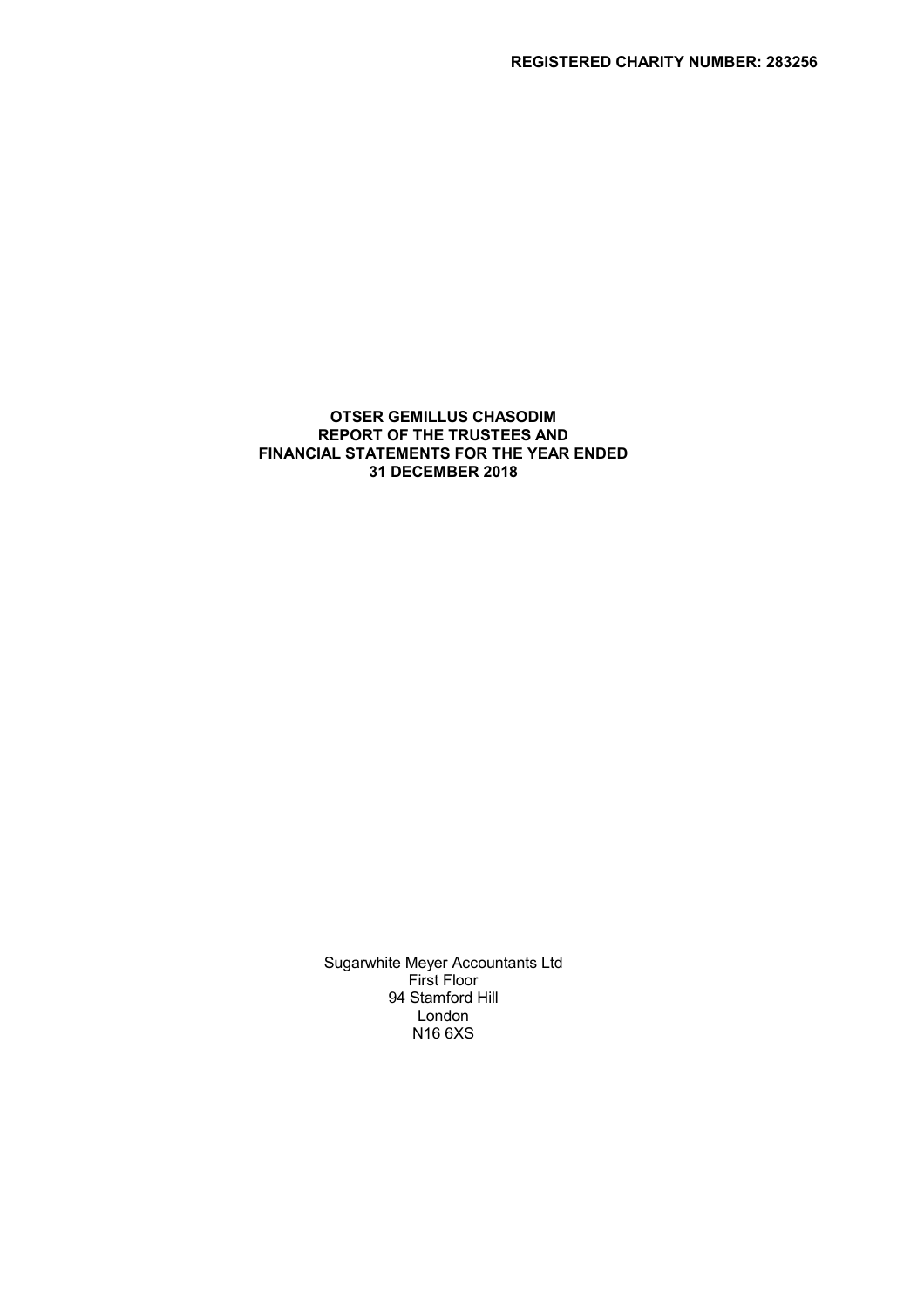## OTSER GEMILLUS CHASODIM REPORT OF THE TRUSTEES AND FINANCIAL STATEMENTS FOR THE YEAR ENDED 31 DECEMBER 2018

Sugarwhite Meyer Accountants Ltd First Floor 94 Stamford Hill London N16 6XS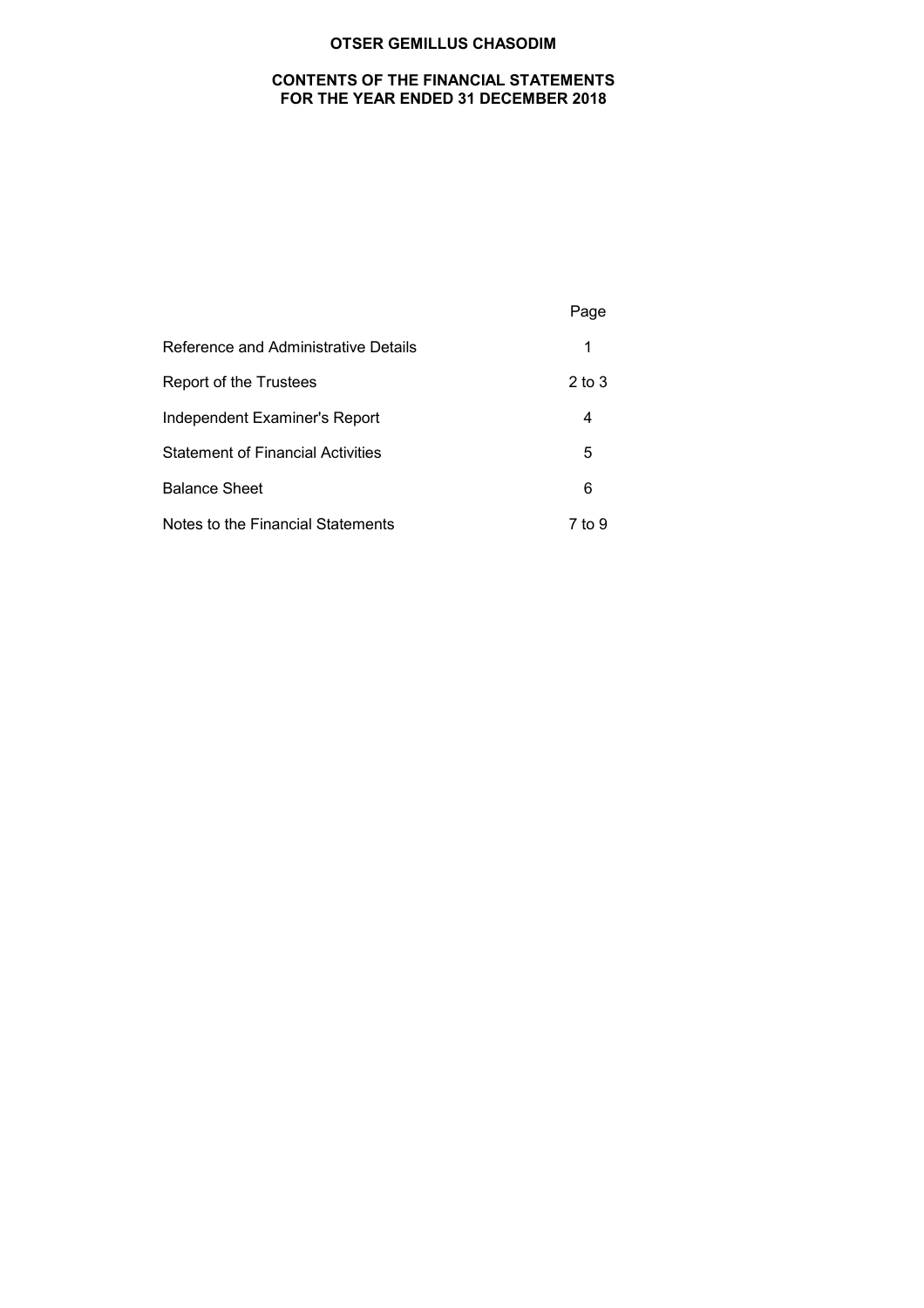## CONTENTS OF THE FINANCIAL STATEMENTS FOR THE YEAR ENDED 31 DECEMBER 2018

|                                          | Page       |
|------------------------------------------|------------|
| Reference and Administrative Details     | 1          |
| Report of the Trustees                   | $2$ to $3$ |
| Independent Examiner's Report            | 4          |
| <b>Statement of Financial Activities</b> | 5          |
| <b>Balance Sheet</b>                     | 6          |
| Notes to the Financial Statements        | 7 to 9     |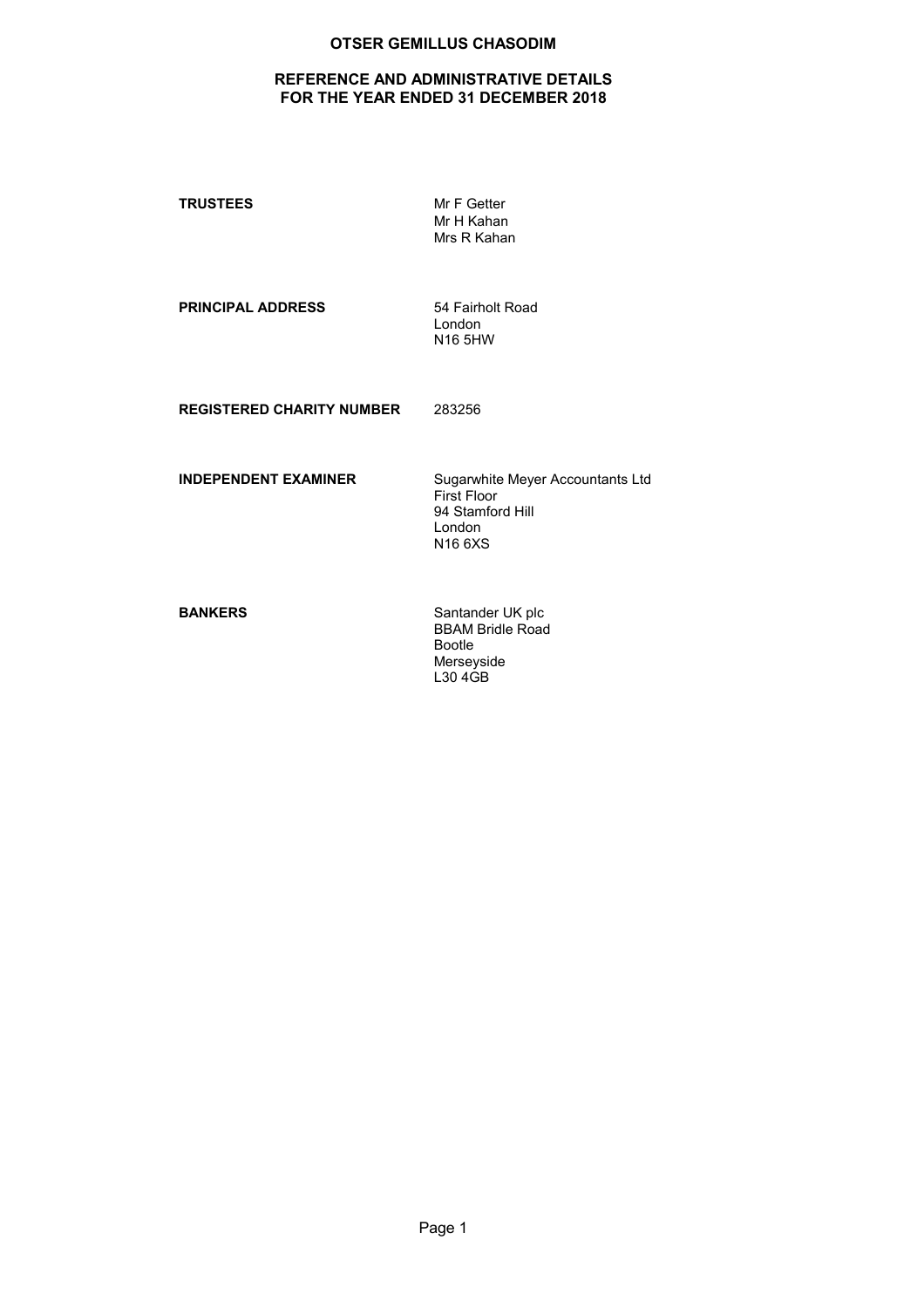# REFERENCE AND ADMINISTRATIVE DETAILS FOR THE YEAR ENDED 31 DECEMBER 2018

TRUSTEES Mr F Getter

Mr H Kahan Mrs R Kahan

PRINCIPAL ADDRESS 54 Fairholt Road

London N16 5HW

REGISTERED CHARITY NUMBER 283256

INDEPENDENT EXAMINER Sugarwhite Meyer Accountants Ltd First Floor 94 Stamford Hill London N16 6XS

BANKERS Santander UK plc BBAM Bridle Road Bootle Merseyside L30 4GB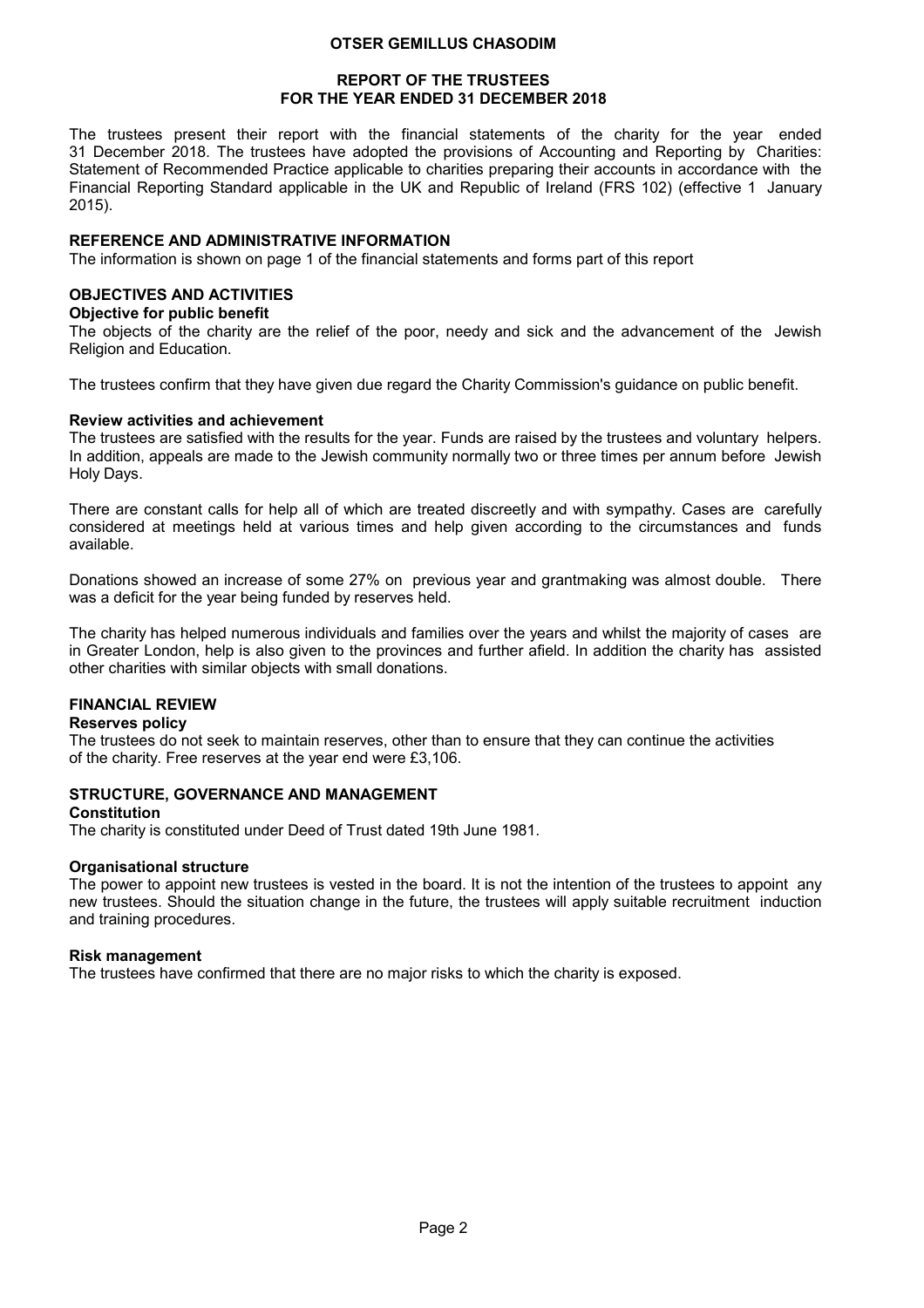### REPORT OF THE TRUSTEES FOR THE YEAR ENDED 31 DECEMBER 2018

The trustees present their report with the financial statements of the charity for the year ended 31 December 2018. The trustees have adopted the provisions of Accounting and Reporting by Charities: Statement of Recommended Practice applicable to charities preparing their accounts in accordance with the Financial Reporting Standard applicable in the UK and Republic of Ireland (FRS 102) (effective 1 January 2015).

### REFERENCE AND ADMINISTRATIVE INFORMATION

The information is shown on page 1 of the financial statements and forms part of this report

### OBJECTIVES AND ACTIVITIES

### Objective for public benefit

The objects of the charity are the relief of the poor, needy and sick and the advancement of the Jewish Religion and Education.

The trustees confirm that they have given due regard the Charity Commission's guidance on public benefit.

### Review activities and achievement

The trustees are satisfied with the results for the year. Funds are raised by the trustees and voluntary helpers. In addition, appeals are made to the Jewish community normally two or three times per annum before Jewish Holy Days.

There are constant calls for help all of which are treated discreetly and with sympathy. Cases are carefully considered at meetings held at various times and help given according to the circumstances and funds available.

Donations showed an increase of some 27% on previous year and grantmaking was almost double. There was a deficit for the year being funded by reserves held.

The charity has helped numerous individuals and families over the years and whilst the majority of cases are in Greater London, help is also given to the provinces and further afield. In addition the charity has assisted other charities with similar objects with small donations.

### FINANCIAL REVIEW

### Reserves policy

The trustees do not seek to maintain reserves, other than to ensure that they can continue the activities of the charity. Free reserves at the year end were £3,106.

### STRUCTURE, GOVERNANCE AND MANAGEMENT

#### **Constitution**

The charity is constituted under Deed of Trust dated 19th June 1981.

### Organisational structure

The power to appoint new trustees is vested in the board. It is not the intention of the trustees to appoint any new trustees. Should the situation change in the future, the trustees will apply suitable recruitment induction and training procedures.

#### Risk management

The trustees have confirmed that there are no major risks to which the charity is exposed.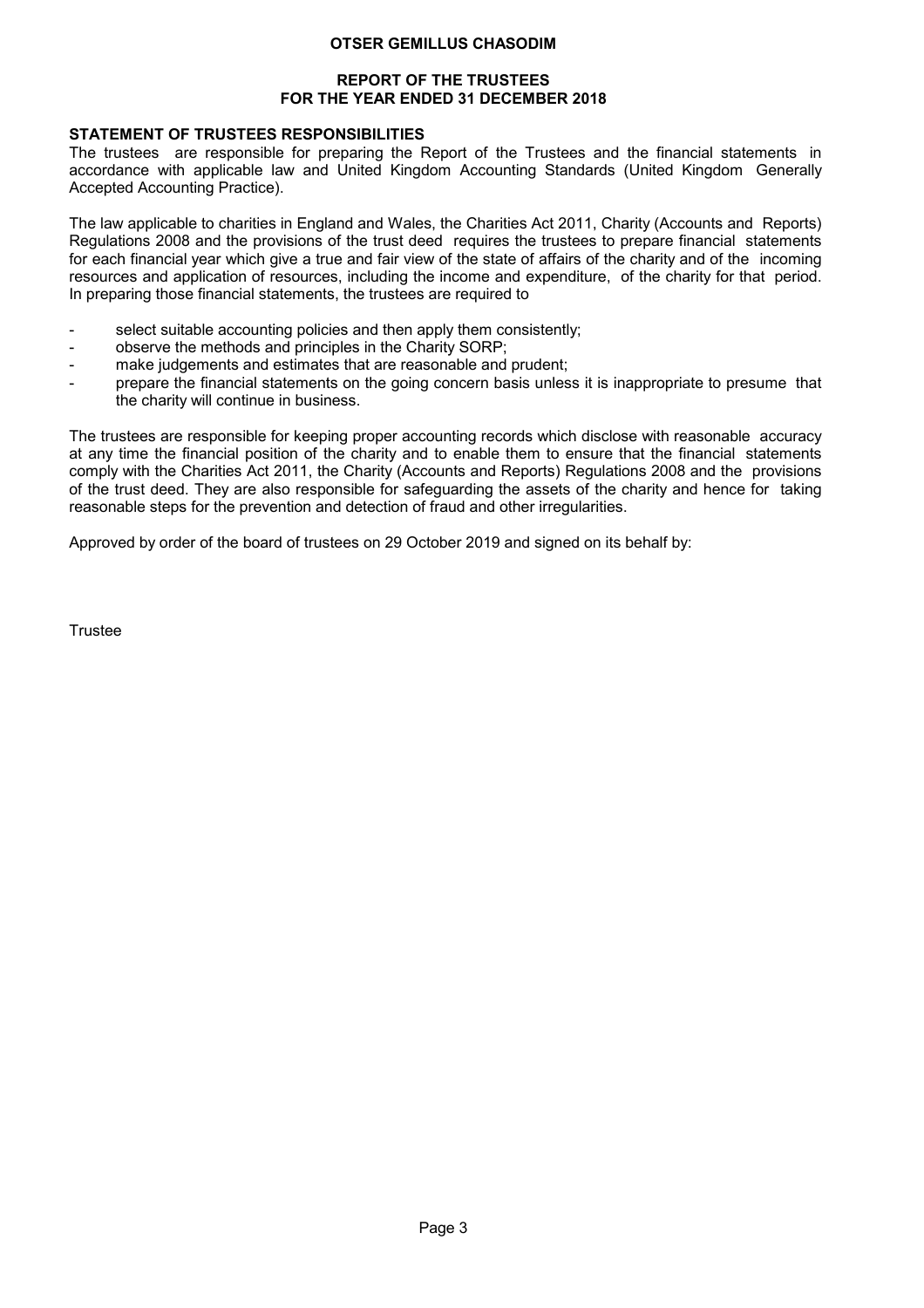### REPORT OF THE TRUSTEES FOR THE YEAR ENDED 31 DECEMBER 2018

## STATEMENT OF TRUSTEES RESPONSIBILITIES

The trustees are responsible for preparing the Report of the Trustees and the financial statements in accordance with applicable law and United Kingdom Accounting Standards (United Kingdom Generally Accepted Accounting Practice).

The law applicable to charities in England and Wales, the Charities Act 2011, Charity (Accounts and Reports) Regulations 2008 and the provisions of the trust deed requires the trustees to prepare financial statements for each financial year which give a true and fair view of the state of affairs of the charity and of the incoming resources and application of resources, including the income and expenditure, of the charity for that period. In preparing those financial statements, the trustees are required to

- select suitable accounting policies and then apply them consistently;
- observe the methods and principles in the Charity SORP;
- make judgements and estimates that are reasonable and prudent;
- prepare the financial statements on the going concern basis unless it is inappropriate to presume that the charity will continue in business.

The trustees are responsible for keeping proper accounting records which disclose with reasonable accuracy at any time the financial position of the charity and to enable them to ensure that the financial statements comply with the Charities Act 2011, the Charity (Accounts and Reports) Regulations 2008 and the provisions of the trust deed. They are also responsible for safeguarding the assets of the charity and hence for taking reasonable steps for the prevention and detection of fraud and other irregularities.

Approved by order of the board of trustees on 29 October 2019 and signed on its behalf by:

**Trustee**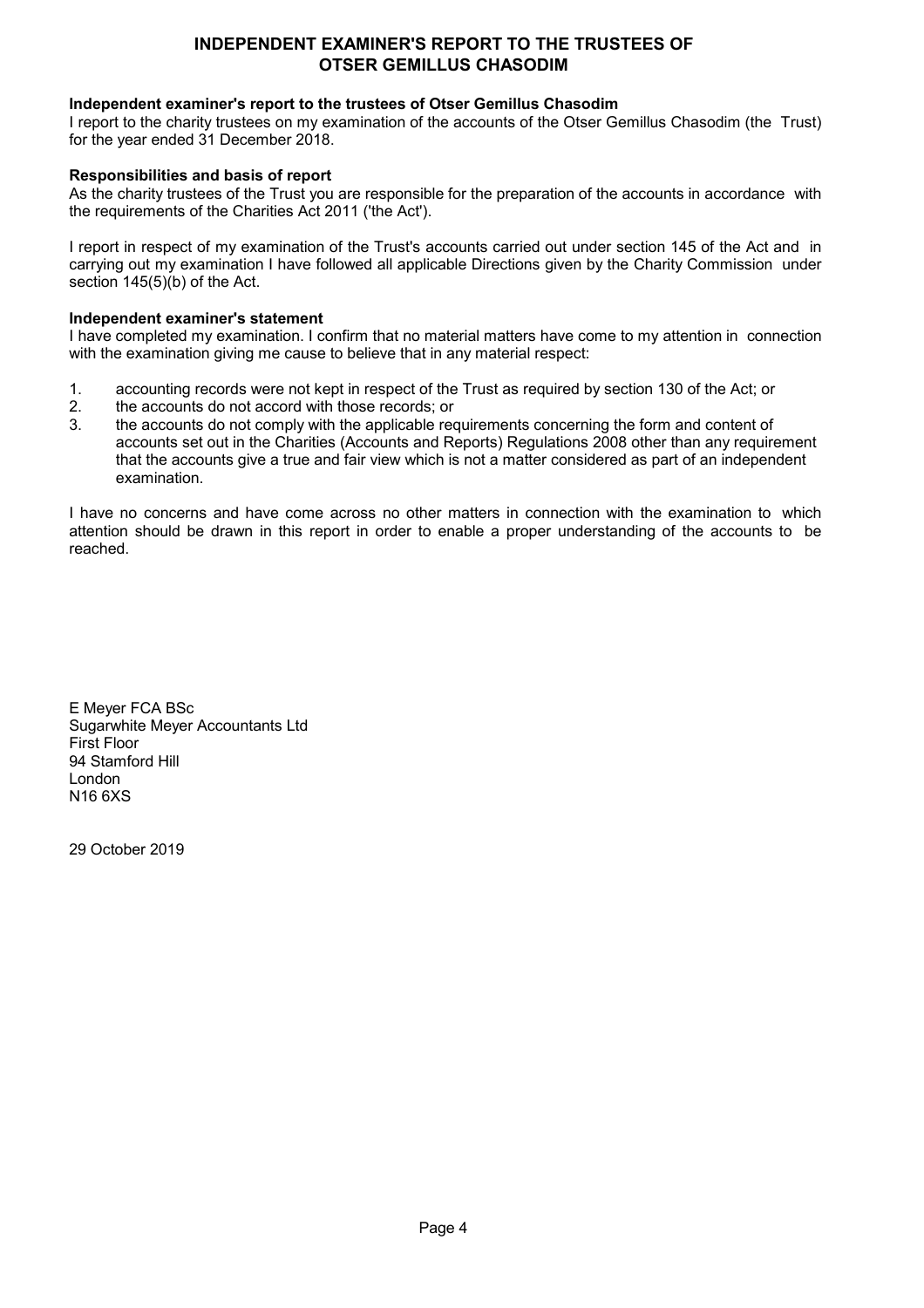# INDEPENDENT EXAMINER'S REPORT TO THE TRUSTEES OF OTSER GEMILLUS CHASODIM

## Independent examiner's report to the trustees of Otser Gemillus Chasodim

I report to the charity trustees on my examination of the accounts of the Otser Gemillus Chasodim (the Trust) for the year ended 31 December 2018.

## Responsibilities and basis of report

As the charity trustees of the Trust you are responsible for the preparation of the accounts in accordance with the requirements of the Charities Act 2011 ('the Act').

I report in respect of my examination of the Trust's accounts carried out under section 145 of the Act and in carrying out my examination I have followed all applicable Directions given by the Charity Commission under section 145(5)(b) of the Act.

### Independent examiner's statement

I have completed my examination. I confirm that no material matters have come to my attention in connection with the examination giving me cause to believe that in any material respect:

- 1. accounting records were not kept in respect of the Trust as required by section 130 of the Act; or
- 2. the accounts do not accord with those records; or<br>3. the accounts do not comply with the applicable req
- the accounts do not comply with the applicable requirements concerning the form and content of accounts set out in the Charities (Accounts and Reports) Regulations 2008 other than any requirement that the accounts give a true and fair view which is not a matter considered as part of an independent examination.

I have no concerns and have come across no other matters in connection with the examination to which attention should be drawn in this report in order to enable a proper understanding of the accounts to be reached.

E Meyer FCA BSc Sugarwhite Meyer Accountants Ltd First Floor 94 Stamford Hill London N16 6XS

29 October 2019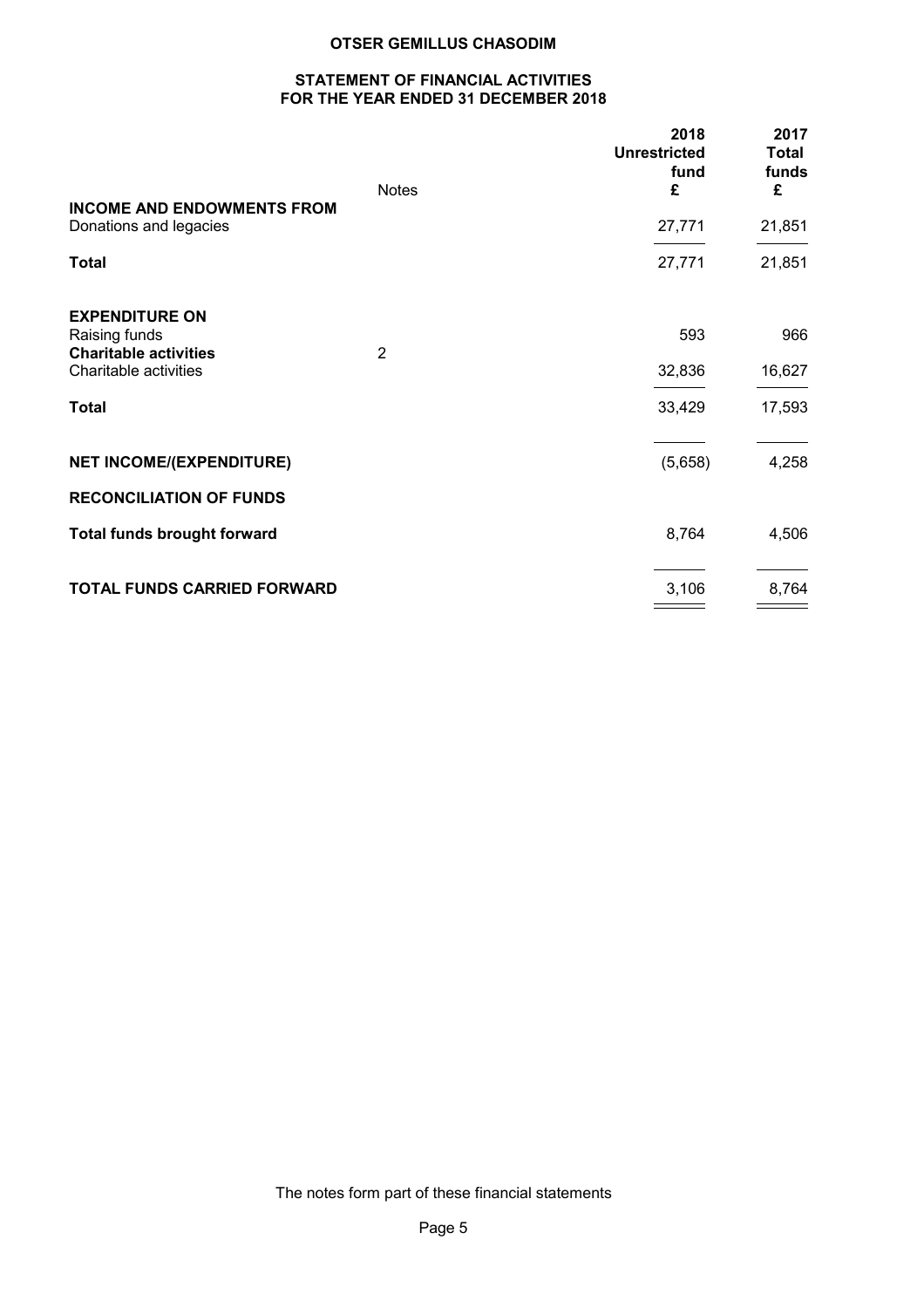## STATEMENT OF FINANCIAL ACTIVITIES FOR THE YEAR ENDED 31 DECEMBER 2018

|                                               | <b>Notes</b>   | 2018<br><b>Unrestricted</b><br>fund<br>£ | 2017<br><b>Total</b><br>funds<br>£ |
|-----------------------------------------------|----------------|------------------------------------------|------------------------------------|
| <b>INCOME AND ENDOWMENTS FROM</b>             |                |                                          |                                    |
| Donations and legacies                        |                | 27,771                                   | 21,851                             |
| <b>Total</b>                                  |                | 27,771                                   | 21,851                             |
| <b>EXPENDITURE ON</b>                         |                |                                          |                                    |
| Raising funds<br><b>Charitable activities</b> | $\overline{2}$ | 593                                      | 966                                |
| Charitable activities                         |                | 32,836                                   | 16,627                             |
| <b>Total</b>                                  |                | 33,429                                   | 17,593                             |
| <b>NET INCOME/(EXPENDITURE)</b>               |                | (5,658)                                  | 4,258                              |
| <b>RECONCILIATION OF FUNDS</b>                |                |                                          |                                    |
| <b>Total funds brought forward</b>            |                | 8,764                                    | 4,506                              |
| TOTAL FUNDS CARRIED FORWARD                   |                | 3,106                                    | 8,764                              |

The notes form part of these financial statements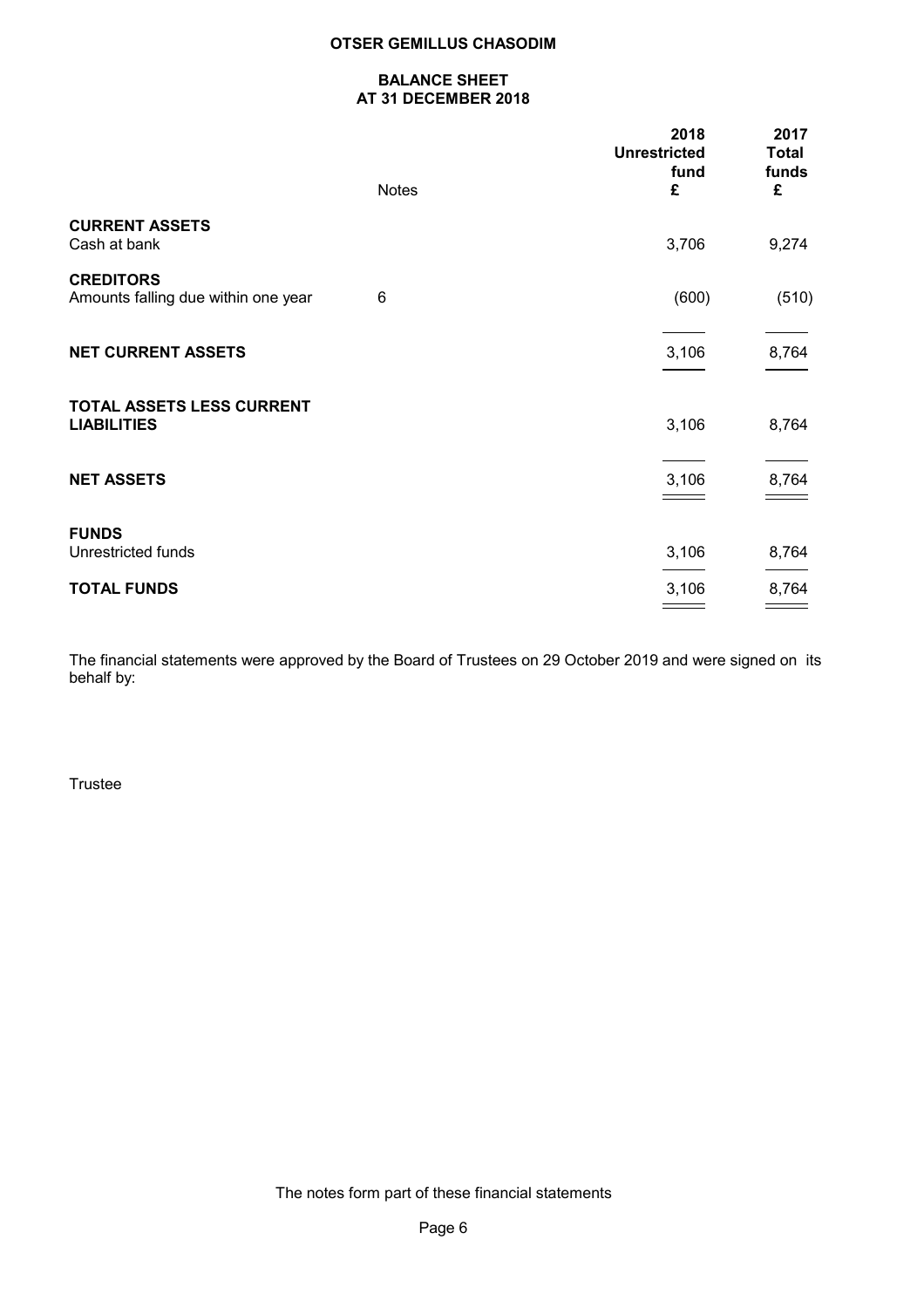### BALANCE SHEET AT 31 DECEMBER 2018

|                                                         | <b>Notes</b> | 2018<br><b>Unrestricted</b><br>fund<br>£ | 2017<br><b>Total</b><br>funds<br>£ |
|---------------------------------------------------------|--------------|------------------------------------------|------------------------------------|
| <b>CURRENT ASSETS</b><br>Cash at bank                   |              | 3,706                                    | 9,274                              |
| <b>CREDITORS</b><br>Amounts falling due within one year | 6            | (600)                                    | (510)                              |
| <b>NET CURRENT ASSETS</b>                               |              | 3,106                                    | 8,764                              |
| TOTAL ASSETS LESS CURRENT<br><b>LIABILITIES</b>         |              | 3,106                                    | 8,764                              |
| <b>NET ASSETS</b>                                       |              | 3,106                                    | 8,764                              |
| <b>FUNDS</b><br><b>Unrestricted funds</b>               |              | 3,106                                    | 8,764                              |
| <b>TOTAL FUNDS</b>                                      |              | 3,106                                    | 8,764                              |

The financial statements were approved by the Board of Trustees on 29 October 2019 and were signed on its behalf by:

Trustee

The notes form part of these financial statements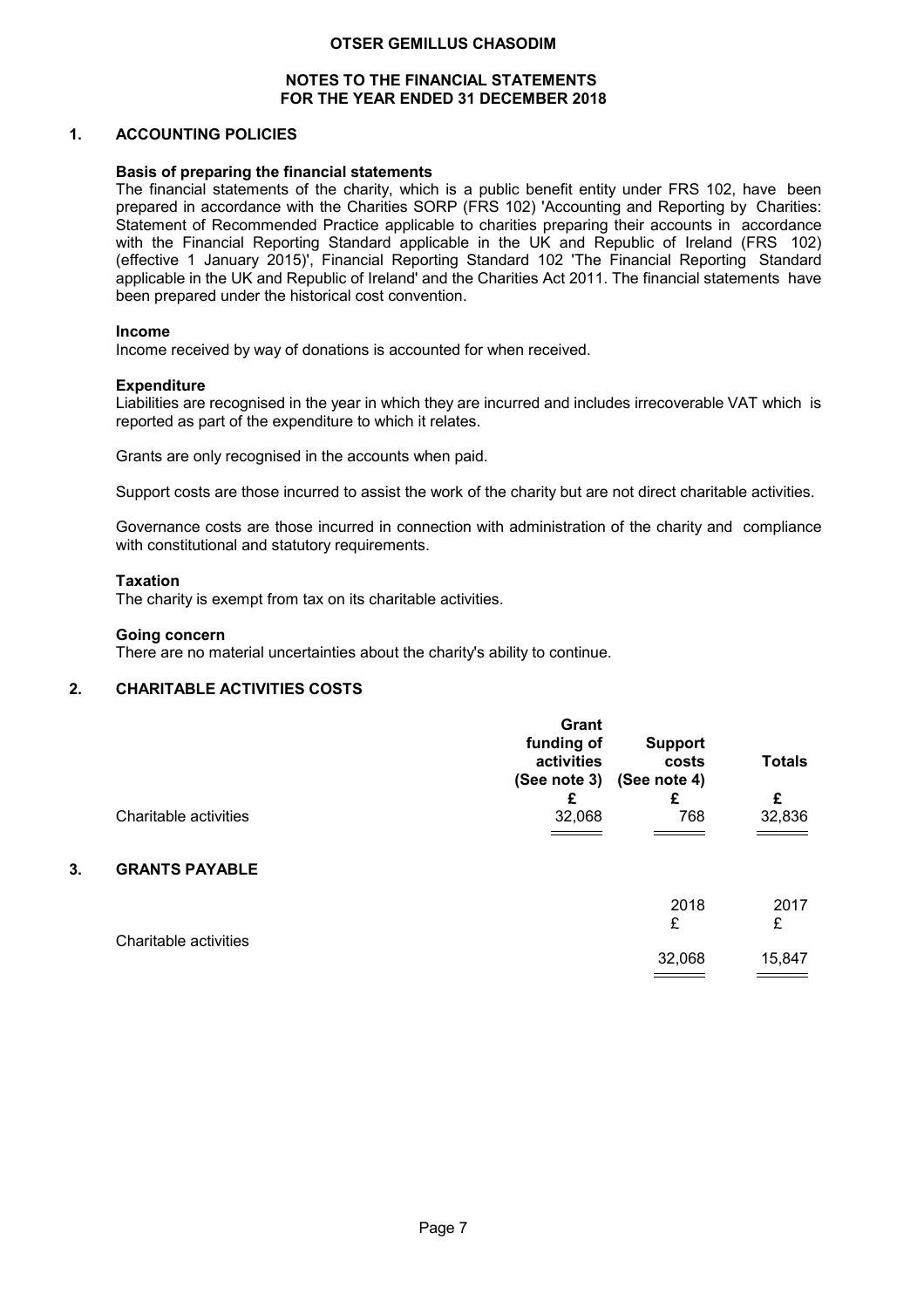### NOTES TO THE FINANCIAL STATEMENTS FOR THE YEAR ENDED 31 DECEMBER 2018

### 1. ACCOUNTING POLICIES

### Basis of preparing the financial statements

The financial statements of the charity, which is a public benefit entity under FRS 102, have been prepared in accordance with the Charities SORP (FRS 102) 'Accounting and Reporting by Charities: Statement of Recommended Practice applicable to charities preparing their accounts in accordance with the Financial Reporting Standard applicable in the UK and Republic of Ireland (FRS 102) (effective 1 January 2015)', Financial Reporting Standard 102 'The Financial Reporting Standard applicable in the UK and Republic of Ireland' and the Charities Act 2011. The financial statements have been prepared under the historical cost convention.

### Income

Income received by way of donations is accounted for when received.

### **Expenditure**

Liabilities are recognised in the year in which they are incurred and includes irrecoverable VAT which is reported as part of the expenditure to which it relates.

Grants are only recognised in the accounts when paid.

Support costs are those incurred to assist the work of the charity but are not direct charitable activities.

Governance costs are those incurred in connection with administration of the charity and compliance with constitutional and statutory requirements.

### Taxation

The charity is exempt from tax on its charitable activities.

#### Going concern

There are no material uncertainties about the charity's ability to continue.

# 2. CHARITABLE ACTIVITIES COSTS

|    |                       | Grant<br>funding of<br>activities | <b>Support</b><br>costs<br>(See note 3) (See note 4) | <b>Totals</b> |
|----|-----------------------|-----------------------------------|------------------------------------------------------|---------------|
|    |                       | £                                 | £                                                    | £             |
|    | Charitable activities | 32,068                            | 768                                                  | 32,836        |
| 3. | <b>GRANTS PAYABLE</b> |                                   |                                                      |               |
|    |                       |                                   | 2018                                                 | 2017          |
|    | Charitable activities |                                   | £                                                    | £             |
|    |                       |                                   | 32,068                                               | 15,847        |

**Contract Contract Contract** 

 $\equiv$   $\equiv$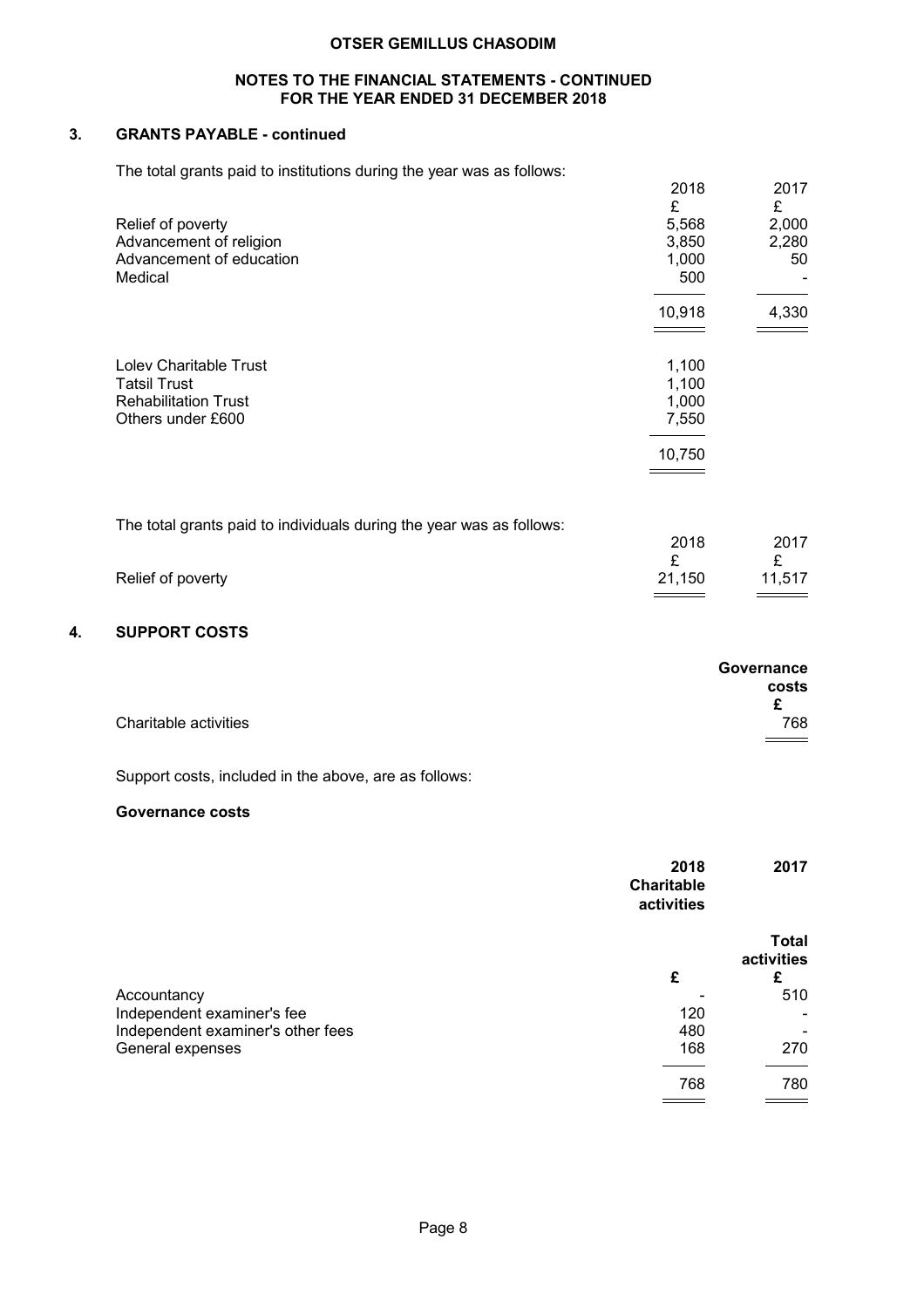## NOTES TO THE FINANCIAL STATEMENTS - CONTINUED FOR THE YEAR ENDED 31 DECEMBER 2018

# 3. GRANTS PAYABLE - continued

The total grants paid to institutions during the year was as follows:

|                                                                      | 2018<br>£ | 2017<br>£ |
|----------------------------------------------------------------------|-----------|-----------|
| Relief of poverty                                                    | 5,568     | 2,000     |
| Advancement of religion                                              | 3,850     | 2,280     |
| Advancement of education                                             | 1,000     | 50        |
| Medical                                                              | 500       |           |
|                                                                      | 10,918    | 4,330     |
|                                                                      |           |           |
| Lolev Charitable Trust                                               | 1,100     |           |
| <b>Tatsil Trust</b>                                                  | 1,100     |           |
| <b>Rehabilitation Trust</b>                                          | 1,000     |           |
| Others under £600                                                    | 7,550     |           |
|                                                                      | 10,750    |           |
|                                                                      |           |           |
|                                                                      |           |           |
| The total grants paid to individuals during the year was as follows: |           |           |

|                   | 2018   | 2017   |
|-------------------|--------|--------|
|                   |        |        |
| Relief of poverty | 21,150 | 11,517 |

# 4. SUPPORT COSTS

|                       | Governance |
|-----------------------|------------|
|                       | costs      |
|                       |            |
| Charitable activities | 768        |
|                       |            |

Support costs, included in the above, are as follows:

# Governance costs

|                                   | 2018<br><b>Charitable</b><br>activities | 2017                            |
|-----------------------------------|-----------------------------------------|---------------------------------|
|                                   | £                                       | <b>Total</b><br>activities<br>£ |
| Accountancy                       |                                         | 510                             |
| Independent examiner's fee        | 120                                     |                                 |
| Independent examiner's other fees | 480                                     |                                 |
| General expenses                  | 168                                     | 270                             |
|                                   | 768                                     | 780                             |